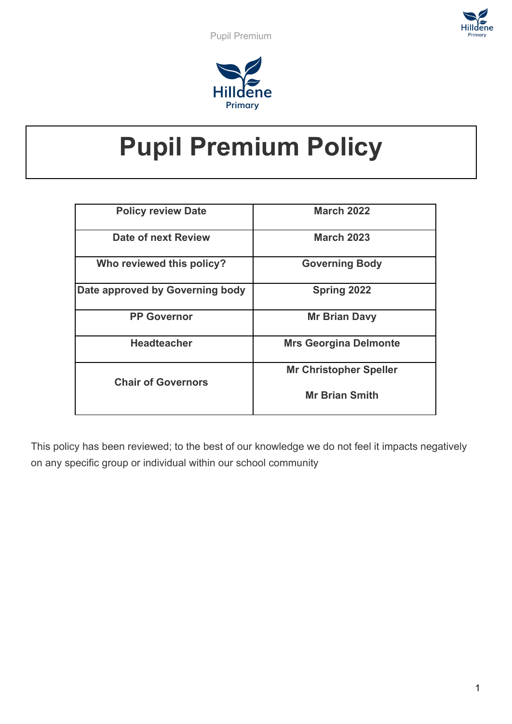



# **Pupil Premium Policy**

| <b>Policy review Date</b>       | <b>March 2022</b>             |
|---------------------------------|-------------------------------|
| Date of next Review             | <b>March 2023</b>             |
| Who reviewed this policy?       | <b>Governing Body</b>         |
| Date approved by Governing body | <b>Spring 2022</b>            |
| <b>PP Governor</b>              | <b>Mr Brian Davy</b>          |
| <b>Headteacher</b>              | <b>Mrs Georgina Delmonte</b>  |
| <b>Chair of Governors</b>       | <b>Mr Christopher Speller</b> |
|                                 | <b>Mr Brian Smith</b>         |

This policy has been reviewed; to the best of our knowledge we do not feel it impacts negatively on any specific group or individual within our school community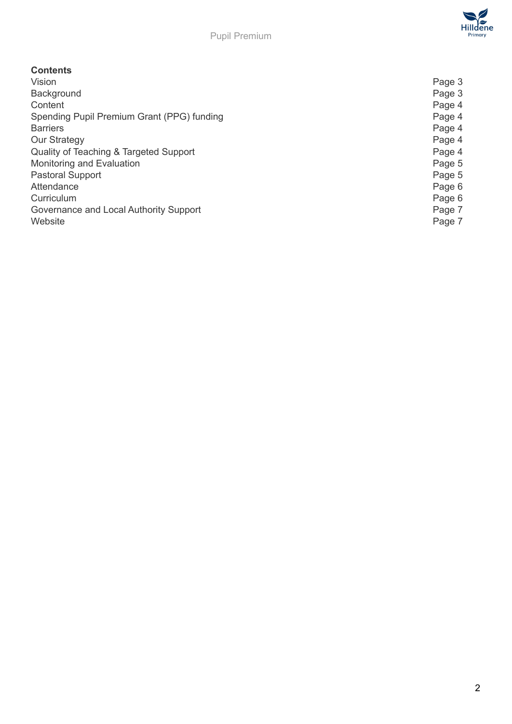

## **Contents**

| Vision                                     | Page 3 |
|--------------------------------------------|--------|
| Background                                 | Page 3 |
| Content                                    | Page 4 |
| Spending Pupil Premium Grant (PPG) funding | Page 4 |
| <b>Barriers</b>                            | Page 4 |
| <b>Our Strategy</b>                        | Page 4 |
| Quality of Teaching & Targeted Support     | Page 4 |
| Monitoring and Evaluation                  | Page 5 |
| <b>Pastoral Support</b>                    | Page 5 |
| Attendance                                 | Page 6 |
| Curriculum                                 | Page 6 |
| Governance and Local Authority Support     | Page 7 |
| Website                                    | Page 7 |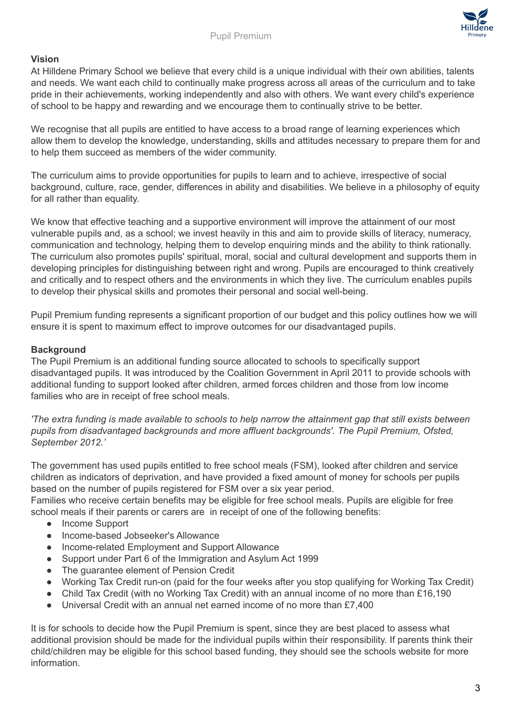

# **Vision**

At Hilldene Primary School we believe that every child is a unique individual with their own abilities, talents and needs. We want each child to continually make progress across all areas of the curriculum and to take pride in their achievements, working independently and also with others. We want every child's experience of school to be happy and rewarding and we encourage them to continually strive to be better.

We recognise that all pupils are entitled to have access to a broad range of learning experiences which allow them to develop the knowledge, understanding, skills and attitudes necessary to prepare them for and to help them succeed as members of the wider community.

The curriculum aims to provide opportunities for pupils to learn and to achieve, irrespective of social background, culture, race, gender, differences in ability and disabilities. We believe in a philosophy of equity for all rather than equality.

We know that effective teaching and a supportive environment will improve the attainment of our most vulnerable pupils and, as a school; we invest heavily in this and aim to provide skills of literacy, numeracy, communication and technology, helping them to develop enquiring minds and the ability to think rationally. The curriculum also promotes pupils' spiritual, moral, social and cultural development and supports them in developing principles for distinguishing between right and wrong. Pupils are encouraged to think creatively and critically and to respect others and the environments in which they live. The curriculum enables pupils to develop their physical skills and promotes their personal and social well-being.

Pupil Premium funding represents a significant proportion of our budget and this policy outlines how we will ensure it is spent to maximum effect to improve outcomes for our disadvantaged pupils.

## **Background**

The Pupil Premium is an additional funding source allocated to schools to specifically support disadvantaged pupils. It was introduced by the Coalition Government in April 2011 to provide schools with additional funding to support looked after children, armed forces children and those from low income families who are in receipt of free school meals.

The extra funding is made available to schools to help narrow the attainment gap that still exists between *pupils from disadvantaged backgrounds and more affluent backgrounds'. The Pupil Premium, Ofsted, September 2012.'*

The government has used pupils entitled to free school meals (FSM), looked after children and service children as indicators of deprivation, and have provided a fixed amount of money for schools per pupils based on the number of pupils registered for FSM over a six year period.

Families who receive certain benefits may be eligible for free school meals. Pupils are eligible for free school meals if their parents or carers are in receipt of one of the following benefits:

- Income Support
- Income-based Jobseeker's Allowance
- Income-related Employment and Support Allowance
- Support under Part 6 of the Immigration and Asylum Act 1999
- The guarantee element of Pension Credit
- Working Tax Credit run-on (paid for the four weeks after you stop qualifying for Working Tax Credit)
- Child Tax Credit (with no Working Tax Credit) with an annual income of no more than £16,190
- Universal Credit with an annual net earned income of no more than £7,400

It is for schools to decide how the Pupil Premium is spent, since they are best placed to assess what additional provision should be made for the individual pupils within their responsibility. If parents think their child/children may be eligible for this school based funding, they should see the schools website for more information.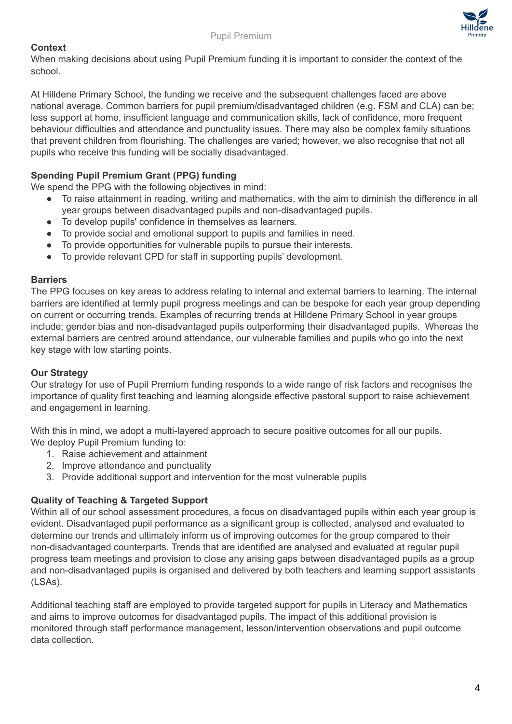



When making decisions about using Pupil Premium funding it is important to consider the context of the school.

At Hilldene Primary School, the funding we receive and the subsequent challenges faced are above national average. Common barriers for pupil premium/disadvantaged children (e.g. FSM and CLA) can be; less support at home, insufficient language and communication skills, lack of confidence, more frequent behaviour difficulties and attendance and punctuality issues. There may also be complex family situations that prevent children from flourishing. The challenges are varied; however, we also recognise that not all pupils who receive this funding will be socially disadvantaged.

## **Spending Pupil Premium Grant (PPG) funding**

We spend the PPG with the following objectives in mind:

- To raise attainment in reading, writing and mathematics, with the aim to diminish the difference in all year groups between disadvantaged pupils and non-disadvantaged pupils.
- To develop pupils' confidence in themselves as learners.
- To provide social and emotional support to pupils and families in need.
- To provide opportunities for vulnerable pupils to pursue their interests.
- To provide relevant CPD for staff in supporting pupils' development.

#### **Barriers**

The PPG focuses on key areas to address relating to internal and external barriers to learning. The internal barriers are identified at termly pupil progress meetings and can be bespoke for each year group depending on current or occurring trends. Examples of recurring trends at Hilldene Primary School in year groups include; gender bias and non-disadvantaged pupils outperforming their disadvantaged pupils. Whereas the external barriers are centred around attendance, our vulnerable families and pupils who go into the next key stage with low starting points.

#### **Our Strategy**

Our strategy for use of Pupil Premium funding responds to a wide range of risk factors and recognises the importance of quality first teaching and learning alongside effective pastoral support to raise achievement and engagement in learning.

With this in mind, we adopt a multi-layered approach to secure positive outcomes for all our pupils. We deploy Pupil Premium funding to:

- 1. Raise achievement and attainment
- 2. Improve attendance and punctuality
- 3. Provide additional support and intervention for the most vulnerable pupils

## **Quality of Teaching & Targeted Support**

Within all of our school assessment procedures, a focus on disadvantaged pupils within each year group is evident. Disadvantaged pupil performance as a significant group is collected, analysed and evaluated to determine our trends and ultimately inform us of improving outcomes for the group compared to their non-disadvantaged counterparts. Trends that are identified are analysed and evaluated at regular pupil progress team meetings and provision to close any arising gaps between disadvantaged pupils as a group and non-disadvantaged pupils is organised and delivered by both teachers and learning support assistants (LSAs).

Additional teaching staff are employed to provide targeted support for pupils in Literacy and Mathematics and aims to improve outcomes for disadvantaged pupils. The impact of this additional provision is monitored through staff performance management, lesson/intervention observations and pupil outcome data collection.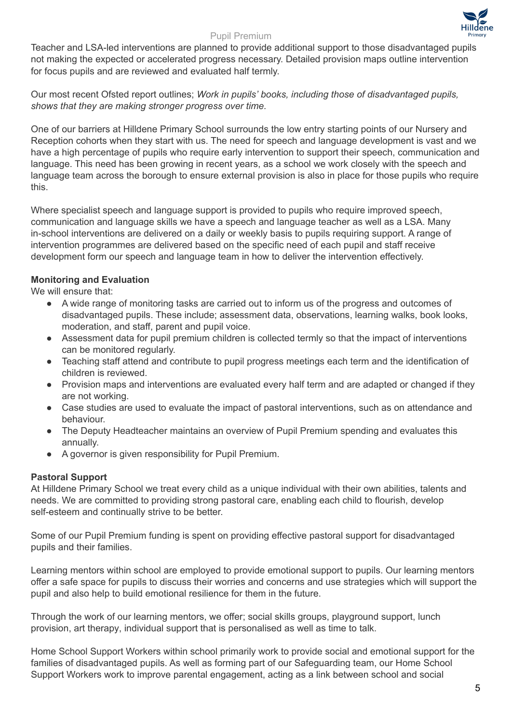

#### Pupil Premium

Teacher and LSA-led interventions are planned to provide additional support to those disadvantaged pupils not making the expected or accelerated progress necessary. Detailed provision maps outline intervention for focus pupils and are reviewed and evaluated half termly.

Our most recent Ofsted report outlines; *Work in pupils' books, including those of disadvantaged pupils, shows that they are making stronger progress over time.*

One of our barriers at Hilldene Primary School surrounds the low entry starting points of our Nursery and Reception cohorts when they start with us. The need for speech and language development is vast and we have a high percentage of pupils who require early intervention to support their speech, communication and language. This need has been growing in recent years, as a school we work closely with the speech and language team across the borough to ensure external provision is also in place for those pupils who require this.

Where specialist speech and language support is provided to pupils who require improved speech, communication and language skills we have a speech and language teacher as well as a LSA. Many in-school interventions are delivered on a daily or weekly basis to pupils requiring support. A range of intervention programmes are delivered based on the specific need of each pupil and staff receive development form our speech and language team in how to deliver the intervention effectively.

## **Monitoring and Evaluation**

We will ensure that:

- A wide range of monitoring tasks are carried out to inform us of the progress and outcomes of disadvantaged pupils. These include; assessment data, observations, learning walks, book looks, moderation, and staff, parent and pupil voice.
- Assessment data for pupil premium children is collected termly so that the impact of interventions can be monitored regularly.
- Teaching staff attend and contribute to pupil progress meetings each term and the identification of children is reviewed.
- Provision maps and interventions are evaluated every half term and are adapted or changed if they are not working.
- Case studies are used to evaluate the impact of pastoral interventions, such as on attendance and behaviour.
- The Deputy Headteacher maintains an overview of Pupil Premium spending and evaluates this annually.
- A governor is given responsibility for Pupil Premium.

## **Pastoral Support**

At Hilldene Primary School we treat every child as a unique individual with their own abilities, talents and needs. We are committed to providing strong pastoral care, enabling each child to flourish, develop self-esteem and continually strive to be better.

Some of our Pupil Premium funding is spent on providing effective pastoral support for disadvantaged pupils and their families.

Learning mentors within school are employed to provide emotional support to pupils. Our learning mentors offer a safe space for pupils to discuss their worries and concerns and use strategies which will support the pupil and also help to build emotional resilience for them in the future.

Through the work of our learning mentors, we offer; social skills groups, playground support, lunch provision, art therapy, individual support that is personalised as well as time to talk.

Home School Support Workers within school primarily work to provide social and emotional support for the families of disadvantaged pupils. As well as forming part of our Safeguarding team, our Home School Support Workers work to improve parental engagement, acting as a link between school and social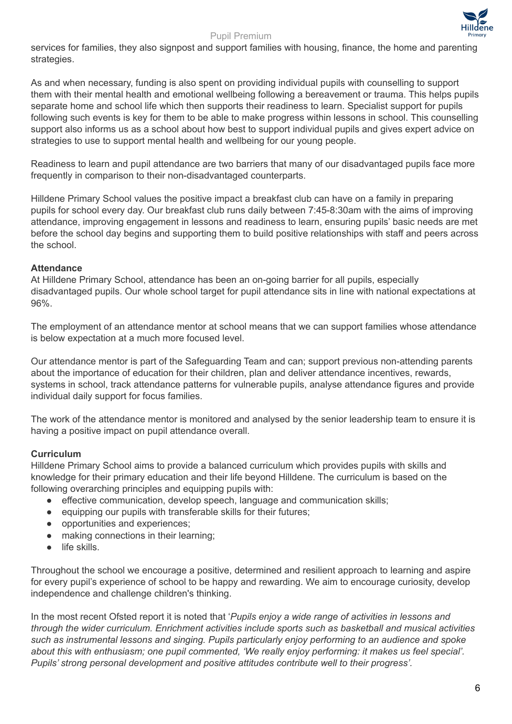#### Pupil Premium



services for families, they also signpost and support families with housing, finance, the home and parenting strategies.

As and when necessary, funding is also spent on providing individual pupils with counselling to support them with their mental health and emotional wellbeing following a bereavement or trauma. This helps pupils separate home and school life which then supports their readiness to learn. Specialist support for pupils following such events is key for them to be able to make progress within lessons in school. This counselling support also informs us as a school about how best to support individual pupils and gives expert advice on strategies to use to support mental health and wellbeing for our young people.

Readiness to learn and pupil attendance are two barriers that many of our disadvantaged pupils face more frequently in comparison to their non-disadvantaged counterparts.

Hilldene Primary School values the positive impact a breakfast club can have on a family in preparing pupils for school every day. Our breakfast club runs daily between 7:45-8:30am with the aims of improving attendance, improving engagement in lessons and readiness to learn, ensuring pupils' basic needs are met before the school day begins and supporting them to build positive relationships with staff and peers across the school.

## **Attendance**

At Hilldene Primary School, attendance has been an on-going barrier for all pupils, especially disadvantaged pupils. Our whole school target for pupil attendance sits in line with national expectations at 96%.

The employment of an attendance mentor at school means that we can support families whose attendance is below expectation at a much more focused level.

Our attendance mentor is part of the Safeguarding Team and can; support previous non-attending parents about the importance of education for their children, plan and deliver attendance incentives, rewards, systems in school, track attendance patterns for vulnerable pupils, analyse attendance figures and provide individual daily support for focus families.

The work of the attendance mentor is monitored and analysed by the senior leadership team to ensure it is having a positive impact on pupil attendance overall.

## **Curriculum**

Hilldene Primary School aims to provide a balanced curriculum which provides pupils with skills and knowledge for their primary education and their life beyond Hilldene. The curriculum is based on the following overarching principles and equipping pupils with:

- effective communication, develop speech, language and communication skills;
- equipping our pupils with transferable skills for their futures;
- opportunities and experiences;
- making connections in their learning;
- life skills.

Throughout the school we encourage a positive, determined and resilient approach to learning and aspire for every pupil's experience of school to be happy and rewarding. We aim to encourage curiosity, develop independence and challenge children's thinking.

In the most recent Ofsted report it is noted that '*Pupils enjoy a wide range of activities in lessons and through the wider curriculum. Enrichment activities include sports such as basketball and musical activities such as instrumental lessons and singing. Pupils particularly enjoy performing to an audience and spoke about this with enthusiasm; one pupil commented, 'We really enjoy performing: it makes us feel special'. Pupils' strong personal development and positive attitudes contribute well to their progress'.*